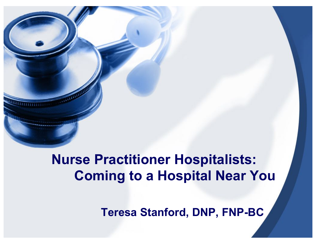## **Nurse Practitioner Hospitalists: Coming to a Hospital Near You**

**Teresa Stanford, DNP, FNP-BC**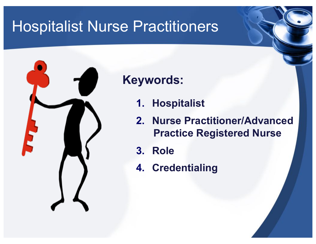

### **Keywords:**

- **1. Hospitalist**
- **2. Nurse Practitioner/Advanced Practice Registered Nurse**
- **3. Role**
- **4. Credentialing**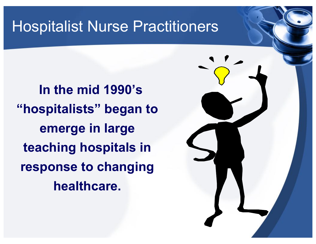**In the mid 1990's "hospitalists" began to emerge in large teaching hospitals in response to changing healthcare.** 

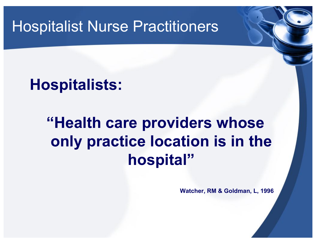# **Hospitalists:**

# **"Health care providers whose only practice location is in the hospital"**

**Watcher, RM & Goldman, L, 1996**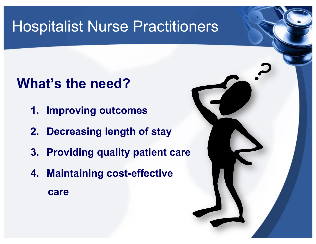## **What's the need?**

- **1. Improving outcomes**
- **2. Decreasing length of stay**
- **3. Providing quality patient care**
- **4. Maintaining cost-effective care**

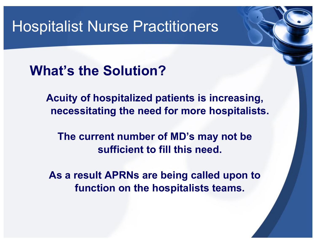**What's the Solution?**

**Acuity of hospitalized patients is increasing, necessitating the need for more hospitalists.** 

**The current number of MD's may not be sufficient to fill this need.** 

**As a result APRNs are being called upon to function on the hospitalists teams.**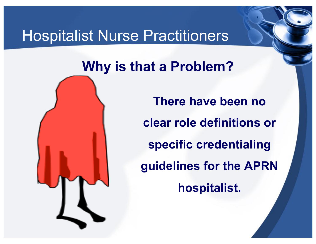## **Why is that a Problem? .**



**There have been no clear role definitions or specific credentialing guidelines for the APRN hospitalist.**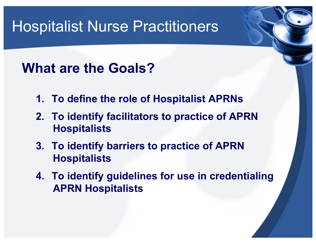## **What are the Goals?**

- **1. To define the role of Hospitalist APRNs**
- **2. To identify facilitators to practice of APRN Hospitalists**
- **3. To identify barriers to practice of APRN Hospitalists**
- **4. To identify guidelines for use in credentialing APRN Hospitalists**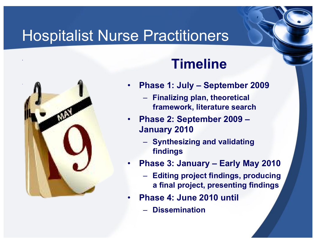

## **. Timeline**

- **Phase 1: July September 2009** 
	- **Finalizing plan, theoretical framework, literature search**
- **Phase 2: September 2009 January 2010** 
	- **Synthesizing and validating findings**
- **Phase 3: January Early May 2010** 
	- **Editing project findings, producing a final project, presenting findings**
- **Phase 4: June 2010 until** 
	- **Dissemination**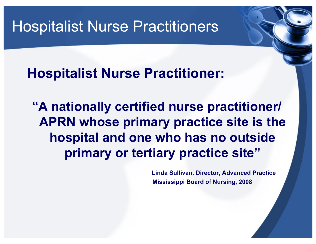**Hospitalist Nurse Practitioner:** 

**"A nationally certified nurse practitioner/ APRN whose primary practice site is the hospital and one who has no outside primary or tertiary practice site"**

> **Linda Sullivan, Director, Advanced Practice Mississippi Board of Nursing, 2008**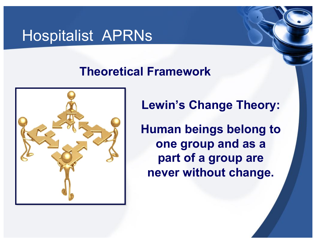## Hospitalist APRNs

### **Theoretical Framework**



**Lewin's Change Theory:** 

**Human beings belong to one group and as a part of a group are never without change.**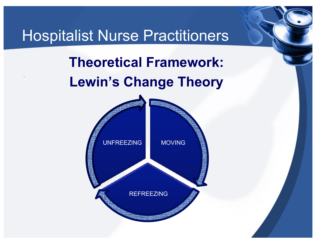**.** 

# **Theoretical Framework: Lewin's Change Theory**

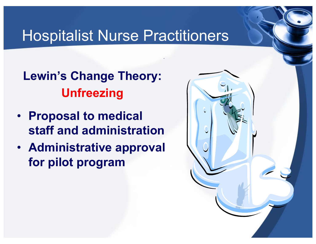**.** 

**Lewin's Change Theory: Unfreezing** 

- **Proposal to medical staff and administration**
- **Administrative approval for pilot program**

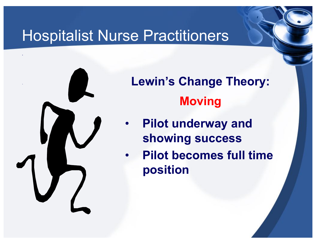

**.** 

**Lewin's Change Theory: Moving** 

- **Pilot underway and showing success**
- **Pilot becomes full time position**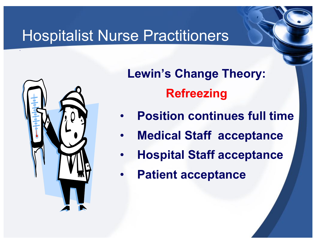

**.** 

**Lewin's Change Theory: Refreezing** 

- **Position continues full time**
- **Medical Staff acceptance**
- **Hospital Staff acceptance**
- **Patient acceptance**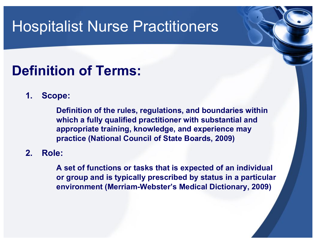## **Definition of Terms:**

**1. Scope:** 

**Definition of the rules, regulations, and boundaries within which a fully qualified practitioner with substantial and appropriate training, knowledge, and experience may practice (National Council of State Boards, 2009)** 

**2. Role:** 

**A set of functions or tasks that is expected of an individual or group and is typically prescribed by status in a particular environment (Merriam-Webster's Medical Dictionary, 2009)**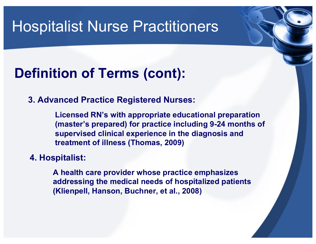## **Definition of Terms (cont):**

#### **3. Advanced Practice Registered Nurses:**

**Licensed RN's with appropriate educational preparation (master's prepared) for practice including 9-24 months of supervised clinical experience in the diagnosis and treatment of illness (Thomas, 2009)** 

#### **4. Hospitalist:**

**A health care provider whose practice emphasizes addressing the medical needs of hospitalized patients (Klienpell, Hanson, Buchner, et al., 2008)**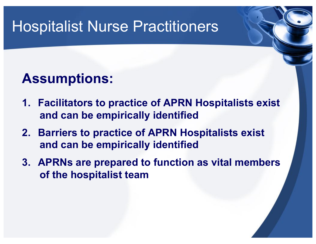## **Assumptions:**

- **1. Facilitators to practice of APRN Hospitalists exist and can be empirically identified**
- **2. Barriers to practice of APRN Hospitalists exist and can be empirically identified**
- **3. APRNs are prepared to function as vital members of the hospitalist team**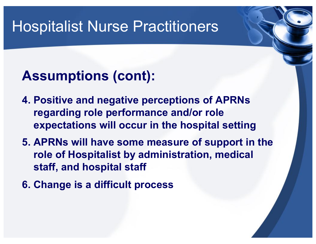## **Assumptions (cont):**

- **4. Positive and negative perceptions of APRNs regarding role performance and/or role expectations will occur in the hospital setting**
- **5. APRNs will have some measure of support in the role of Hospitalist by administration, medical staff, and hospital staff**
- **6. Change is a difficult process**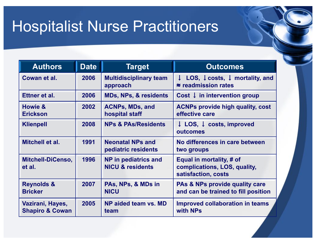| <b>Authors</b>                                 | <b>Date</b> | <b>Target</b>                                       | <b>Outcomes</b>                                                                                     |  |
|------------------------------------------------|-------------|-----------------------------------------------------|-----------------------------------------------------------------------------------------------------|--|
| Cowan et al.                                   | 2006        | <b>Multidisciplinary team</b><br>approach           | LOS, $\downarrow$ costs, $\downarrow$ mortality, and<br>$\downarrow$<br>$\approx$ readmission rates |  |
| Ettner et al.                                  | 2006        | <b>MDs, NPs, &amp; residents</b>                    | Cost $\downarrow$ in intervention group                                                             |  |
| Howie &<br><b>Erickson</b>                     | 2002        | <b>ACNPs, MDs, and</b><br>hospital staff            | <b>ACNPs provide high quality, cost</b><br>effective care                                           |  |
| <b>Klienpell</b>                               | 2008        | <b>NPs &amp; PAs/Residents</b>                      | $\downarrow$ LOS, $\downarrow$ costs, improved<br>outcomes                                          |  |
| Mitchell et al.                                | 1991        | <b>Neonatal NPs and</b><br>pediatric residents      | No differences in care between<br>two groups                                                        |  |
| <b>Mitchell-DiCenso,</b><br>et al.             | 1996        | NP in pediatrics and<br><b>NICU &amp; residents</b> | Equal in mortality, # of<br>complications, LOS, quality,<br>satisfaction, costs                     |  |
| <b>Reynolds &amp;</b><br><b>Bricker</b>        | 2007        | PAs, NPs, & MDs in<br><b>NICU</b>                   | <b>PAs &amp; NPs provide quality care</b><br>and can be trained to fill position                    |  |
| Vazirani, Hayes,<br><b>Shapiro &amp; Cowan</b> | 2005        | NP aided team vs. MD<br>team                        | <b>Improved collaboration in teams</b><br>with NPs                                                  |  |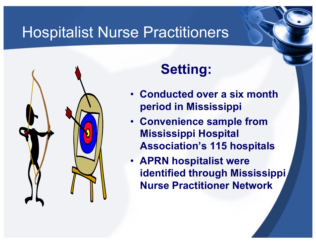

# **Setting:**

• **Conducted over a six month period in Mississippi** 

- **Convenience sample from Mississippi Hospital Association's 115 hospitals**
- **APRN hospitalist were identified through Mississippi Nurse Practitioner Network**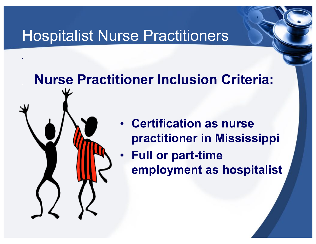**.** 

.

# **Nurse Practitioner Inclusion Criteria:**

- **Certification as nurse practitioner in Mississippi**
- **Full or part-time employment as hospitalist**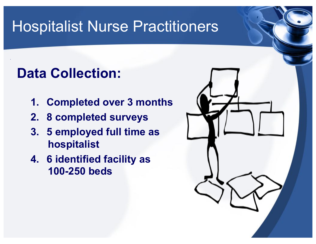## **Data Collection:**

- **1. Completed over 3 months**
- **2. 8 completed surveys**
- **3. 5 employed full time as hospitalist**
- **4. 6 identified facility as 100-250 beds**

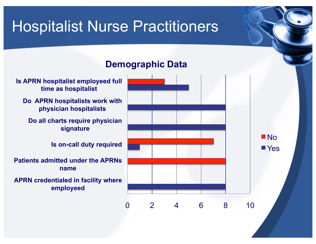### **Demographic Data**

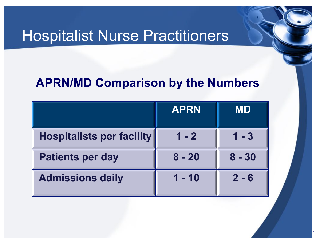### **APRN/MD Comparison by the Numbers**

**.** 

|                                  | <b>APRN</b> | MD       |
|----------------------------------|-------------|----------|
| <b>Hospitalists per facility</b> | $1 - 2$     | $1 - 3$  |
| <b>Patients per day</b>          | $8 - 20$    | $8 - 30$ |
| <b>Admissions daily</b>          | $1 - 10$    | $2 - 6$  |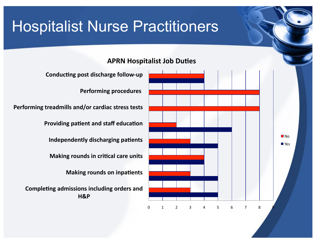## 0 1 2 3 4 5 6 7 8 9 **H&P\* Making rounds on inpatients Making rounds in critical care units Independently discharging patients Providing patient and staff education Performing procedures Conducting post discharge follow-up**  $\blacksquare$  No ■ Yes

**APRN Hospitalist Job Duties** 

Performing treadmills and/or cardiac stress tests

**Completing admissions including orders and**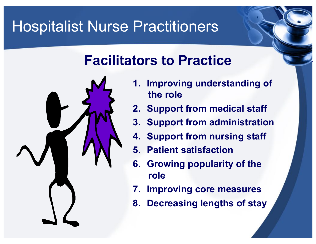## **Facilitators to Practice**



- **1. Improving understanding of the role**
- **2. Support from medical staff**
- **3. Support from administration**
- **4. Support from nursing staff**
- **5. Patient satisfaction**
- **6. Growing popularity of the role**
- **7. Improving core measures**
- **8. Decreasing lengths of stay**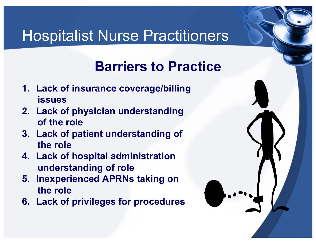## **Barriers to Practice**

- **1. Lack of insurance coverage/billing issues**
- **2. Lack of physician understanding of the role**
- **3. Lack of patient understanding of the role**
- **4. Lack of hospital administration understanding of role**
- **5. Inexperienced APRNs taking on the role**
- **6. Lack of privileges for procedures**

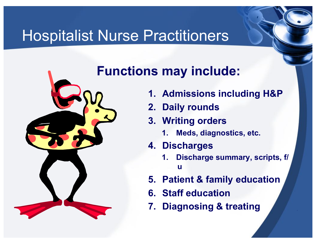

### **Functions may include:**

- **1. Admissions including H&P**
- **2. Daily rounds**
- **3. Writing orders** 
	- **1. Meds, diagnostics, etc.**
- **4. Discharges** 
	- **1. Discharge summary, scripts, f/ u**
- **5. Patient & family education**
- **6. Staff education**
- **7. Diagnosing & treating**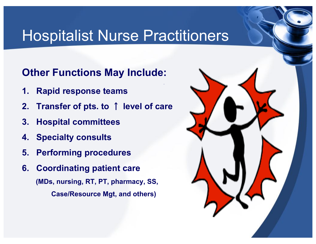.

### **Other Functions May Include:**

- **1. Rapid response teams**
- **2. Transfer of pts. to** ↑ **level of care**
- **3. Hospital committees**
- **4. Specialty consults**
- **5. Performing procedures**
- **6. Coordinating patient care (MDs, nursing, RT, PT, pharmacy, SS, Case/Resource Mgt, and others)**

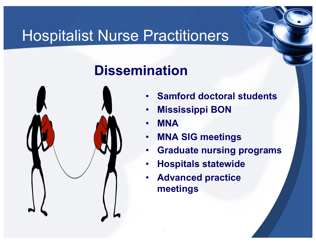# **Dissemination**



• **Samford doctoral students** 

**.** 

- **Mississippi BON**
- **MNA**

- **MNA SIG meetings**
- **Graduate nursing programs**
- **Hospitals statewide**
- **Advanced practice meetings**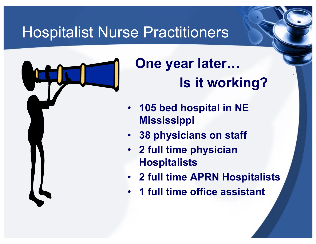

# **One year later… Is it working?**

- **105 bed hospital in NE Mississippi**
- **38 physicians on staff**
- **2 full time physician Hospitalists**
- **2 full time APRN Hospitalists**
- **1 full time office assistant**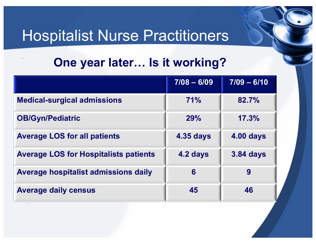### **. One year later… Is it working?**

|                                              | $7/08 - 6/09$    | $7/09 - 6/10$    |
|----------------------------------------------|------------------|------------------|
| <b>Medical-surgical admissions</b>           | 71%              | 82.7%            |
| <b>OB/Gyn/Pediatric</b>                      | 29%              | 17.3%            |
| <b>Average LOS for all patients</b>          | <b>4.35 days</b> | <b>4.00 days</b> |
| <b>Average LOS for Hospitalists patients</b> | 4.2 days         | <b>3.84 days</b> |
| <b>Average hospitalist admissions daily</b>  | 6                | 9                |
| <b>Average daily census</b>                  | 45               | 46               |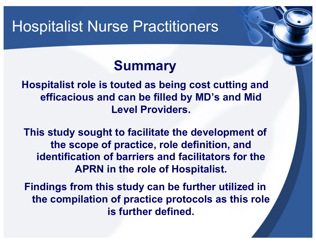## **Summary**

**Hospitalist role is touted as being cost cutting and efficacious and can be filled by MD's and Mid Level Providers.** 

**This study sought to facilitate the development of the scope of practice, role definition, and identification of barriers and facilitators for the APRN in the role of Hospitalist.** 

**Findings from this study can be further utilized in the compilation of practice protocols as this role is further defined.**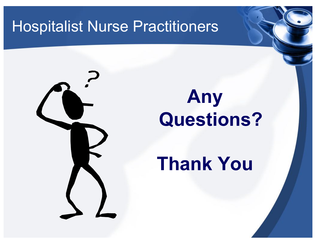# **Any Questions?**

# **Thank You**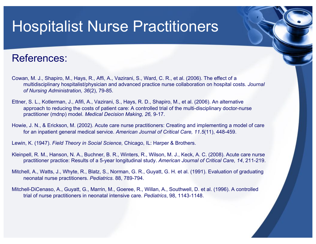#### References:

- Cowan, M. J., Shapiro, M., Hays, R., Affi, A., Vazirani, S., Ward, C. R., et al. (2006). The effect of a multidisciplinary hospitalist/physician and advanced practice nurse collaboration on hospital costs. *Journal of Nursing Administration, 36*(2), 79-85.
- Ettner, S. L., Kotlerman, J., Afifi, A., Vazirani, S., Hays, R. D., Shapiro, M., et al. (2006). An alternative approach to reducing the costs of patient care: A controlled trial of the multi-disciplinary doctor-nurse practitioner (mdnp) model. *Medical Decision Making, 26,* 9-17.
- Howie, J. N., & Erickson, M. (2002). Acute care nurse practitioners: Creating and implementing a model of care for an inpatient general medical service. *American Journal of Critical Care, 11.5*(11), 448-459.
- Lewin, K. (1947). *Field Theory in Social Science,* Chicago, IL: Harper & Brothers.
- Kleinpell, R. M., Hanson, N. A., Buchner, B. R., Winters, R., Wilson, M. J., Keck, A. C. (2008). Acute care nurse practitioner practice: Results of a 5-year longitudinal study. *American Journal of Critical Care, 14*, 211-219.
- Mitchell, A., Watts, J., Whyte, R., Blatz, S., Norman, G. R., Guyatt, G. H. et al. (1991). Evaluation of graduating neonatal nurse practitioners. *Pediatrics*. 88, 789-794.
- Mitchell-DiCenaso, A., Guyatt, G., Marrin, M., Goeree, R., Willan, A., Southwell, D. et al. (1996). A controlled trial of nurse practitioners in neonatal intensive care. *Pediatrics*, 98, 1143-1148.